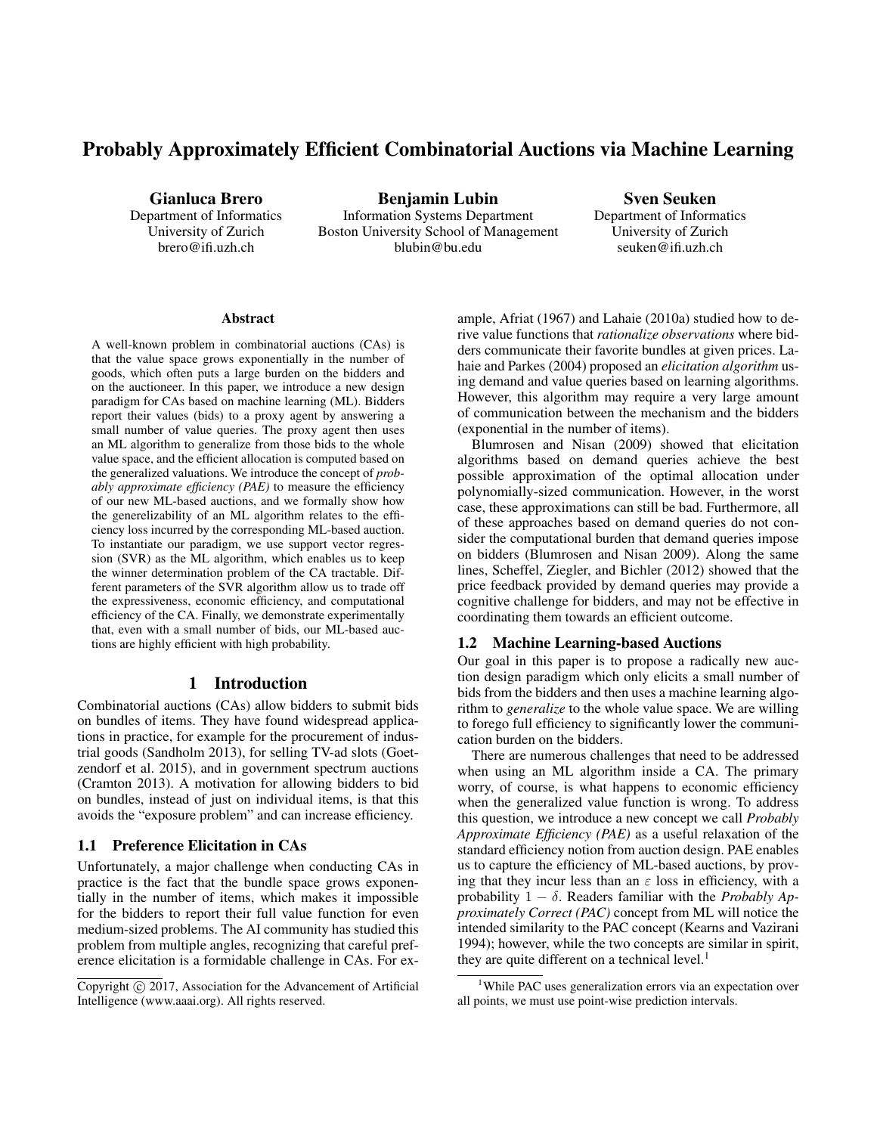# Probably Approximately Efficient Combinatorial Auctions via Machine Learning

Gianluca Brero Department of Informatics University of Zurich brero@ifi.uzh.ch

Benjamin Lubin Information Systems Department Boston University School of Management blubin@bu.edu

Sven Seuken Department of Informatics University of Zurich seuken@ifi.uzh.ch

#### **Abstract**

A well-known problem in combinatorial auctions (CAs) is that the value space grows exponentially in the number of goods, which often puts a large burden on the bidders and on the auctioneer. In this paper, we introduce a new design paradigm for CAs based on machine learning (ML). Bidders report their values (bids) to a proxy agent by answering a small number of value queries. The proxy agent then uses an ML algorithm to generalize from those bids to the whole value space, and the efficient allocation is computed based on the generalized valuations. We introduce the concept of *probably approximate efficiency (PAE)* to measure the efficiency of our new ML-based auctions, and we formally show how the generelizability of an ML algorithm relates to the efficiency loss incurred by the corresponding ML-based auction. To instantiate our paradigm, we use support vector regression (SVR) as the ML algorithm, which enables us to keep the winner determination problem of the CA tractable. Different parameters of the SVR algorithm allow us to trade off the expressiveness, economic efficiency, and computational efficiency of the CA. Finally, we demonstrate experimentally that, even with a small number of bids, our ML-based auctions are highly efficient with high probability.

# 1 Introduction

Combinatorial auctions (CAs) allow bidders to submit bids on bundles of items. They have found widespread applications in practice, for example for the procurement of industrial goods (Sandholm 2013), for selling TV-ad slots (Goetzendorf et al. 2015), and in government spectrum auctions (Cramton 2013). A motivation for allowing bidders to bid on bundles, instead of just on individual items, is that this avoids the "exposure problem" and can increase efficiency.

#### 1.1 Preference Elicitation in CAs

Unfortunately, a major challenge when conducting CAs in practice is the fact that the bundle space grows exponentially in the number of items, which makes it impossible for the bidders to report their full value function for even medium-sized problems. The AI community has studied this problem from multiple angles, recognizing that careful preference elicitation is a formidable challenge in CAs. For ex-

ample, Afriat (1967) and Lahaie (2010a) studied how to derive value functions that *rationalize observations* where bidders communicate their favorite bundles at given prices. Lahaie and Parkes (2004) proposed an *elicitation algorithm* using demand and value queries based on learning algorithms. However, this algorithm may require a very large amount of communication between the mechanism and the bidders (exponential in the number of items).

Blumrosen and Nisan (2009) showed that elicitation algorithms based on demand queries achieve the best possible approximation of the optimal allocation under polynomially-sized communication. However, in the worst case, these approximations can still be bad. Furthermore, all of these approaches based on demand queries do not consider the computational burden that demand queries impose on bidders (Blumrosen and Nisan 2009). Along the same lines, Scheffel, Ziegler, and Bichler (2012) showed that the price feedback provided by demand queries may provide a cognitive challenge for bidders, and may not be effective in coordinating them towards an efficient outcome.

#### 1.2 Machine Learning-based Auctions

Our goal in this paper is to propose a radically new auction design paradigm which only elicits a small number of bids from the bidders and then uses a machine learning algorithm to *generalize* to the whole value space. We are willing to forego full efficiency to significantly lower the communication burden on the bidders.

There are numerous challenges that need to be addressed when using an ML algorithm inside a CA. The primary worry, of course, is what happens to economic efficiency when the generalized value function is wrong. To address this question, we introduce a new concept we call *Probably Approximate Efficiency (PAE)* as a useful relaxation of the standard efficiency notion from auction design. PAE enables us to capture the efficiency of ML-based auctions, by proving that they incur less than an  $\varepsilon$  loss in efficiency, with a probability  $1 - \delta$ . Readers familiar with the *Probably Approximately Correct (PAC)* concept from ML will notice the intended similarity to the PAC concept (Kearns and Vazirani 1994); however, while the two concepts are similar in spirit, they are quite different on a technical level.<sup>1</sup>

Copyright (c) 2017, Association for the Advancement of Artificial Intelligence (www.aaai.org). All rights reserved.

<sup>&</sup>lt;sup>1</sup>While PAC uses generalization errors via an expectation over all points, we must use point-wise prediction intervals.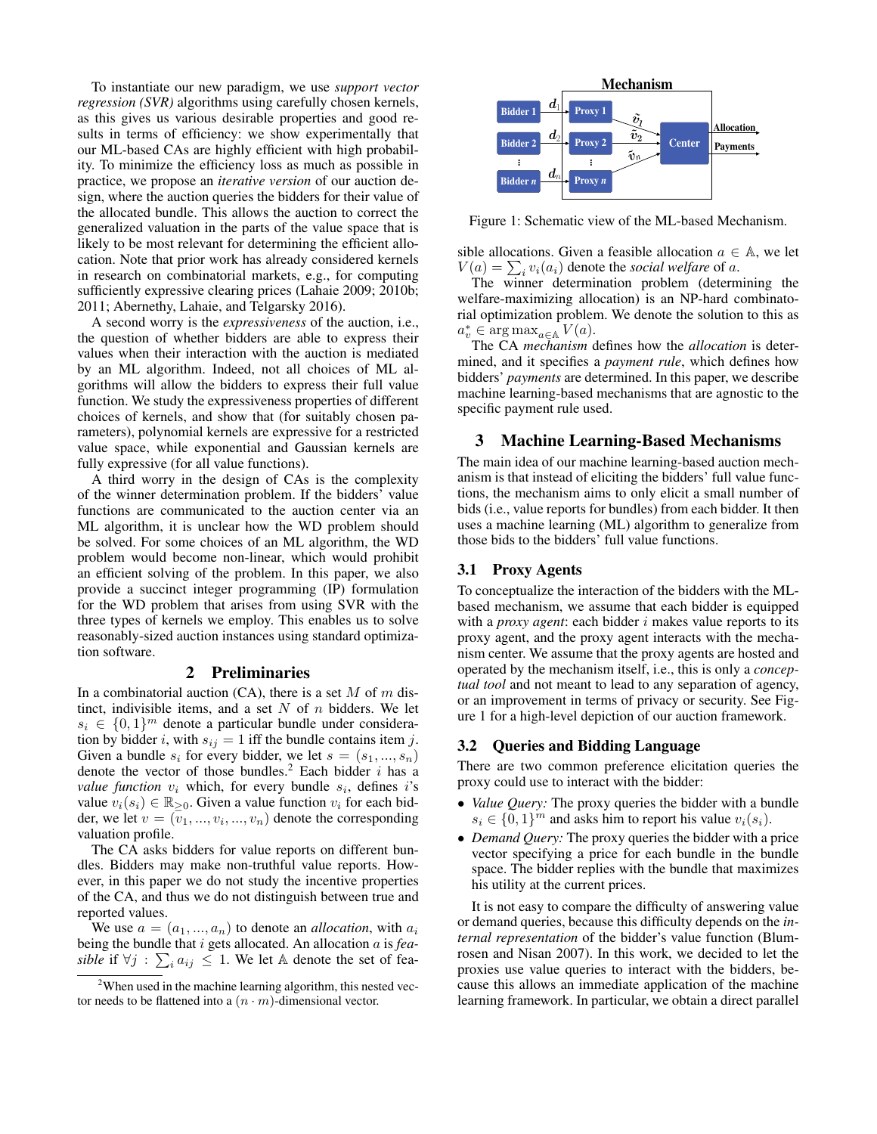To instantiate our new paradigm, we use *support vector regression (SVR)* algorithms using carefully chosen kernels, as this gives us various desirable properties and good results in terms of efficiency: we show experimentally that our ML-based CAs are highly efficient with high probability. To minimize the efficiency loss as much as possible in practice, we propose an *iterative version* of our auction design, where the auction queries the bidders for their value of the allocated bundle. This allows the auction to correct the generalized valuation in the parts of the value space that is likely to be most relevant for determining the efficient allocation. Note that prior work has already considered kernels in research on combinatorial markets, e.g., for computing sufficiently expressive clearing prices (Lahaie 2009; 2010b; 2011; Abernethy, Lahaie, and Telgarsky 2016).

A second worry is the *expressiveness* of the auction, i.e., the question of whether bidders are able to express their values when their interaction with the auction is mediated by an ML algorithm. Indeed, not all choices of ML algorithms will allow the bidders to express their full value function. We study the expressiveness properties of different choices of kernels, and show that (for suitably chosen parameters), polynomial kernels are expressive for a restricted value space, while exponential and Gaussian kernels are fully expressive (for all value functions).

A third worry in the design of CAs is the complexity of the winner determination problem. If the bidders' value functions are communicated to the auction center via an ML algorithm, it is unclear how the WD problem should be solved. For some choices of an ML algorithm, the WD problem would become non-linear, which would prohibit an efficient solving of the problem. In this paper, we also provide a succinct integer programming (IP) formulation for the WD problem that arises from using SVR with the three types of kernels we employ. This enables us to solve reasonably-sized auction instances using standard optimization software.

#### 2 Preliminaries

In a combinatorial auction  $(CA)$ , there is a set M of m distinct, indivisible items, and a set  $N$  of  $n$  bidders. We let  $s_i \in \{0,1\}^m$  denote a particular bundle under consideration by bidder i, with  $s_{ij} = 1$  iff the bundle contains item j. Given a bundle  $s_i$  for every bidder, we let  $s = (s_1, ..., s_n)$ denote the vector of those bundles.<sup>2</sup> Each bidder  $i$  has a *value function*  $v_i$  which, for every bundle  $s_i$ , defines i's value  $v_i(s_i) \in \mathbb{R}_{\geq 0}$ . Given a value function  $v_i$  for each bidder, we let  $v = (v_1, ..., v_i, ..., v_n)$  denote the corresponding valuation profile.

The CA asks bidders for value reports on different bundles. Bidders may make non-truthful value reports. However, in this paper we do not study the incentive properties of the CA, and thus we do not distinguish between true and reported values.

We use  $a = (a_1, ..., a_n)$  to denote an *allocation*, with  $a_i$ being the bundle that i gets allocated. An allocation a is *feasible* if  $\forall j : \sum_i a_{ij} \leq 1$ . We let A denote the set of fea-



Figure 1: Schematic view of the ML-based Mechanism.

sible allocations. Given a feasible allocation  $a \in A$ , we let  $V(a) = \sum_i v_i(a_i)$  denote the *social welfare* of a.

The winner determination problem (determining the welfare-maximizing allocation) is an NP-hard combinatorial optimization problem. We denote the solution to this as  $a_v^* \in \arg \max_{a \in \mathbb{A}} V(a).$ 

The CA *mechanism* defines how the *allocation* is determined, and it specifies a *payment rule*, which defines how bidders' *payments* are determined. In this paper, we describe machine learning-based mechanisms that are agnostic to the specific payment rule used.

### 3 Machine Learning-Based Mechanisms

The main idea of our machine learning-based auction mechanism is that instead of eliciting the bidders' full value functions, the mechanism aims to only elicit a small number of bids (i.e., value reports for bundles) from each bidder. It then uses a machine learning (ML) algorithm to generalize from those bids to the bidders' full value functions.

#### 3.1 Proxy Agents

To conceptualize the interaction of the bidders with the MLbased mechanism, we assume that each bidder is equipped with a *proxy agent*: each bidder i makes value reports to its proxy agent, and the proxy agent interacts with the mechanism center. We assume that the proxy agents are hosted and operated by the mechanism itself, i.e., this is only a *conceptual tool* and not meant to lead to any separation of agency, or an improvement in terms of privacy or security. See Figure 1 for a high-level depiction of our auction framework.

#### 3.2 Queries and Bidding Language

There are two common preference elicitation queries the proxy could use to interact with the bidder:

- *Value Query:* The proxy queries the bidder with a bundle  $s_i \in \{0,1\}^m$  and asks him to report his value  $v_i(s_i)$ .
- *Demand Query:* The proxy queries the bidder with a price vector specifying a price for each bundle in the bundle space. The bidder replies with the bundle that maximizes his utility at the current prices.

It is not easy to compare the difficulty of answering value or demand queries, because this difficulty depends on the *internal representation* of the bidder's value function (Blumrosen and Nisan 2007). In this work, we decided to let the proxies use value queries to interact with the bidders, because this allows an immediate application of the machine learning framework. In particular, we obtain a direct parallel

<sup>&</sup>lt;sup>2</sup>When used in the machine learning algorithm, this nested vector needs to be flattened into a  $(n \cdot m)$ -dimensional vector.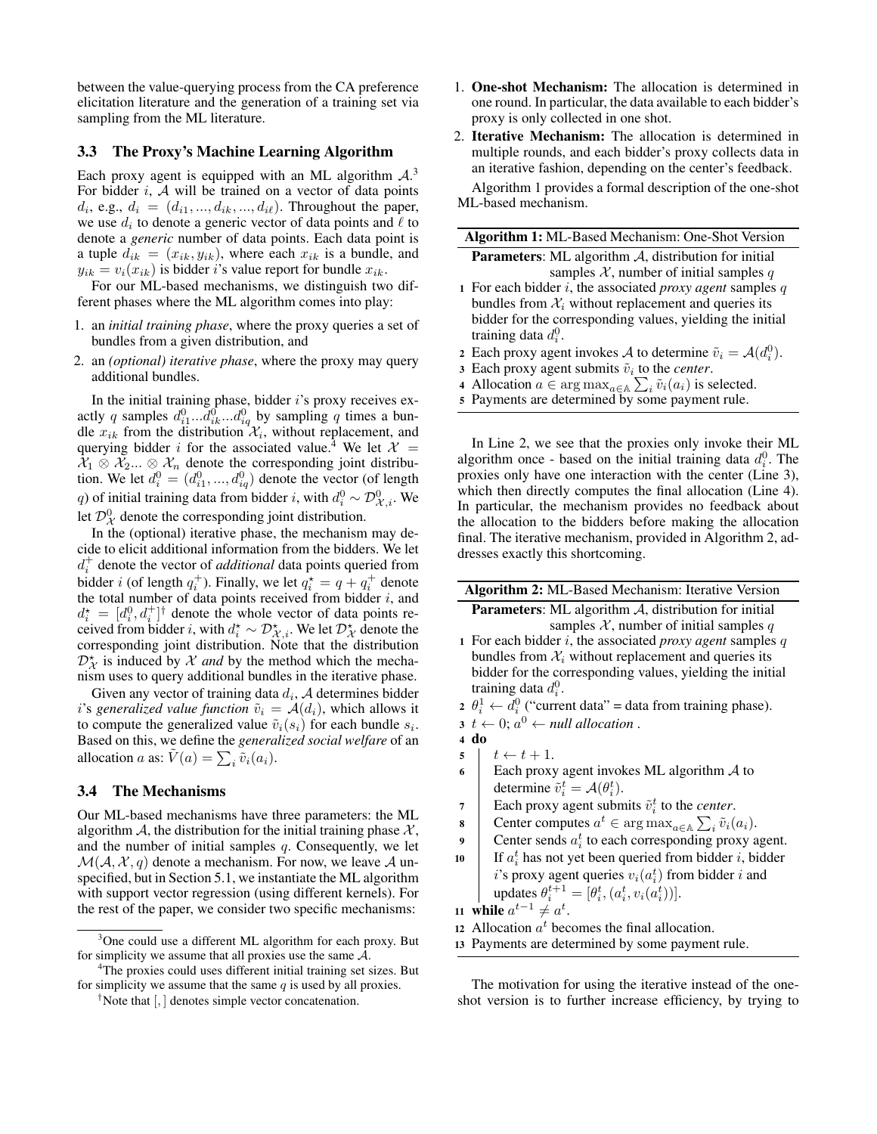between the value-querying process from the CA preference elicitation literature and the generation of a training set via sampling from the ML literature.

#### 3.3 The Proxy's Machine Learning Algorithm

Each proxy agent is equipped with an ML algorithm  $A$ .<sup>3</sup> For bidder  $i$ ,  $\mathcal A$  will be trained on a vector of data points  $d_i$ , e.g.,  $d_i = (d_{i1}, ..., d_{ik}, ..., d_{i\ell})$ . Throughout the paper, we use  $d_i$  to denote a generic vector of data points and  $\ell$  to denote a *generic* number of data points. Each data point is a tuple  $d_{ik} = (x_{ik}, y_{ik})$ , where each  $x_{ik}$  is a bundle, and  $y_{ik} = v_i(x_{ik})$  is bidder i's value report for bundle  $x_{ik}$ .

For our ML-based mechanisms, we distinguish two different phases where the ML algorithm comes into play:

- 1. an *initial training phase*, where the proxy queries a set of bundles from a given distribution, and
- 2. an *(optional) iterative phase*, where the proxy may query additional bundles.

In the initial training phase, bidder  $i$ 's proxy receives exactly q samples  $d_{i1}^0...d_{ik}^0...d_{iq}^0$  by sampling q times a bundle  $x_{ik}$  from the distribution  $\mathcal{X}_i$ , without replacement, and querying bidder i for the associated value.<sup>4</sup> We let  $\mathcal{X} =$  $X_1 \otimes X_2... \otimes X_n$  denote the corresponding joint distribution. We let  $d_i^0 = (d_{i1}^0, ..., d_{iq}^0)$  denote the vector (of length q) of initial training data from bidder *i*, with  $d_i^0 \sim \mathcal{D}_{\mathcal{X},i}^0$ . We let  $\mathcal{D}_{\mathcal{X}}^0$  denote the corresponding joint distribution.

In the (optional) iterative phase, the mechanism may decide to elicit additional information from the bidders. We let  $d_i^+$  denote the vector of *additional* data points queried from bidder *i* (of length  $q_i^+$ ). Finally, we let  $q_i^* = q + q_i^+$  denote the total number of data points received from bidder  $i$ , and  $d_i^* = [d_i^0, d_i^+]^{\dagger}$  denote the whole vector of data points received from bidder *i*, with  $d_i^* \sim \mathcal{D}_{\mathcal{X},i}^*$ . We let  $\mathcal{D}_{\mathcal{X}}^*$  denote the corresponding joint distribution. Note that the distribution  $D_X^*$  is induced by X *and* by the method which the mechanism uses to query additional bundles in the iterative phase.

Given any vector of training data  $d_i$ ,  $A$  determines bidder *i*'s *generalized value function*  $\tilde{v}_i = A(d_i)$ , which allows it to compute the generalized value  $\tilde{v}_i(s_i)$  for each bundle  $s_i$ . Based on this, we define the *generalized social welfare* of an allocation *a* as:  $\tilde{V}(a) = \sum_i \tilde{v}_i(a_i)$ .

#### 3.4 The Mechanisms

Our ML-based mechanisms have three parameters: the ML algorithm A, the distribution for the initial training phase  $X$ , and the number of initial samples  $q$ . Consequently, we let  $\mathcal{M}(\mathcal{A}, \mathcal{X}, q)$  denote a mechanism. For now, we leave  $\mathcal A$  unspecified, but in Section 5.1, we instantiate the ML algorithm with support vector regression (using different kernels). For the rest of the paper, we consider two specific mechanisms:

- 1. One-shot Mechanism: The allocation is determined in one round. In particular, the data available to each bidder's proxy is only collected in one shot.
- 2. Iterative Mechanism: The allocation is determined in multiple rounds, and each bidder's proxy collects data in an iterative fashion, depending on the center's feedback.

Algorithm 1 provides a formal description of the one-shot ML-based mechanism.

| Algorithm 1: ML-Based Mechanism: One-Shot Version                              |
|--------------------------------------------------------------------------------|
| <b>Parameters:</b> ML algorithm $A$ , distribution for initial                 |
| samples $X$ , number of initial samples q                                      |
| 1 For each bidder i, the associated <i>proxy agent</i> samples $q$             |
| bundles from $\mathcal{X}_i$ without replacement and queries its               |
| bidder for the corresponding values, yielding the initial                      |
| training data $d_i^0$ .                                                        |
| 2 Each proxy agent invokes A to determine $\tilde{v}_i = \mathcal{A}(d_i^0)$ . |
| 3 Each proxy agent submits $\tilde{v}_i$ to the <i>center</i> .                |

- 4 Allocation  $a \in \arg \max_{a \in \mathbb{A}} \sum_{i} \tilde{v}_i(a_i)$  is selected.
- <sup>5</sup> Payments are determined by some payment rule.

In Line 2, we see that the proxies only invoke their ML algorithm once - based on the initial training data  $d_i^0$ . The proxies only have one interaction with the center (Line 3), which then directly computes the final allocation (Line 4). In particular, the mechanism provides no feedback about the allocation to the bidders before making the allocation final. The iterative mechanism, provided in Algorithm 2, addresses exactly this shortcoming.

| <b>Algorithm 2:</b> ML-Based Mechanism: Iterative Version                    |  |  |  |  |  |  |
|------------------------------------------------------------------------------|--|--|--|--|--|--|
| <b>Parameters:</b> ML algorithm $A$ , distribution for initial               |  |  |  |  |  |  |
| samples X, number of initial samples q                                       |  |  |  |  |  |  |
| 1 For each bidder $i$ , the associated <i>proxy agent</i> samples $q$        |  |  |  |  |  |  |
| bundles from $\mathcal{X}_i$ without replacement and queries its             |  |  |  |  |  |  |
| bidder for the corresponding values, yielding the initial                    |  |  |  |  |  |  |
| training data $d_i^0$ .                                                      |  |  |  |  |  |  |
| 2 $\theta_i^1 \leftarrow d_i^0$ ("current data" = data from training phase). |  |  |  |  |  |  |
| $3 \tarrow 0$ ; $a^0 \leftarrow null$ allocation.                            |  |  |  |  |  |  |
| $4$ do                                                                       |  |  |  |  |  |  |
| $t \leftarrow t + 1.$<br>5                                                   |  |  |  |  |  |  |
| Each proxy agent invokes ML algorithm $\mathcal A$ to<br>6                   |  |  |  |  |  |  |
| determine $\tilde{v}_i^t = \mathcal{A}(\theta_i^t)$ .                        |  |  |  |  |  |  |
| Each proxy agent submits $\tilde{v}_i^t$ to the <i>center</i> .<br>7         |  |  |  |  |  |  |
| Center computes $a^t \in \arg \max_{a \in A} \sum_i \tilde{v}_i(a_i)$ .<br>8 |  |  |  |  |  |  |
| Center sends $a_i^t$ to each corresponding proxy agent.<br>9                 |  |  |  |  |  |  |
| If $a_i^t$ has not yet been queried from bidder i, bidder<br>10              |  |  |  |  |  |  |
| i's proxy agent queries $v_i(a_i^t)$ from bidder i and                       |  |  |  |  |  |  |
| updates $\theta_i^{t+1} = [\theta_i^t, (a_i^t, v_i(a_i^t))]$ .               |  |  |  |  |  |  |
| 11 while $a^{t-1} \neq a^t$ .                                                |  |  |  |  |  |  |

- 11 while  $a$
- 12 Allocation  $a^t$  becomes the final allocation.
- <sup>13</sup> Payments are determined by some payment rule.

The motivation for using the iterative instead of the oneshot version is to further increase efficiency, by trying to

<sup>&</sup>lt;sup>3</sup>One could use a different ML algorithm for each proxy. But for simplicity we assume that all proxies use the same  $A$ .

<sup>4</sup>The proxies could uses different initial training set sizes. But for simplicity we assume that the same  $q$  is used by all proxies.

<sup>&</sup>lt;sup>†</sup>Note that  $\left[ ,\right]$  denotes simple vector concatenation.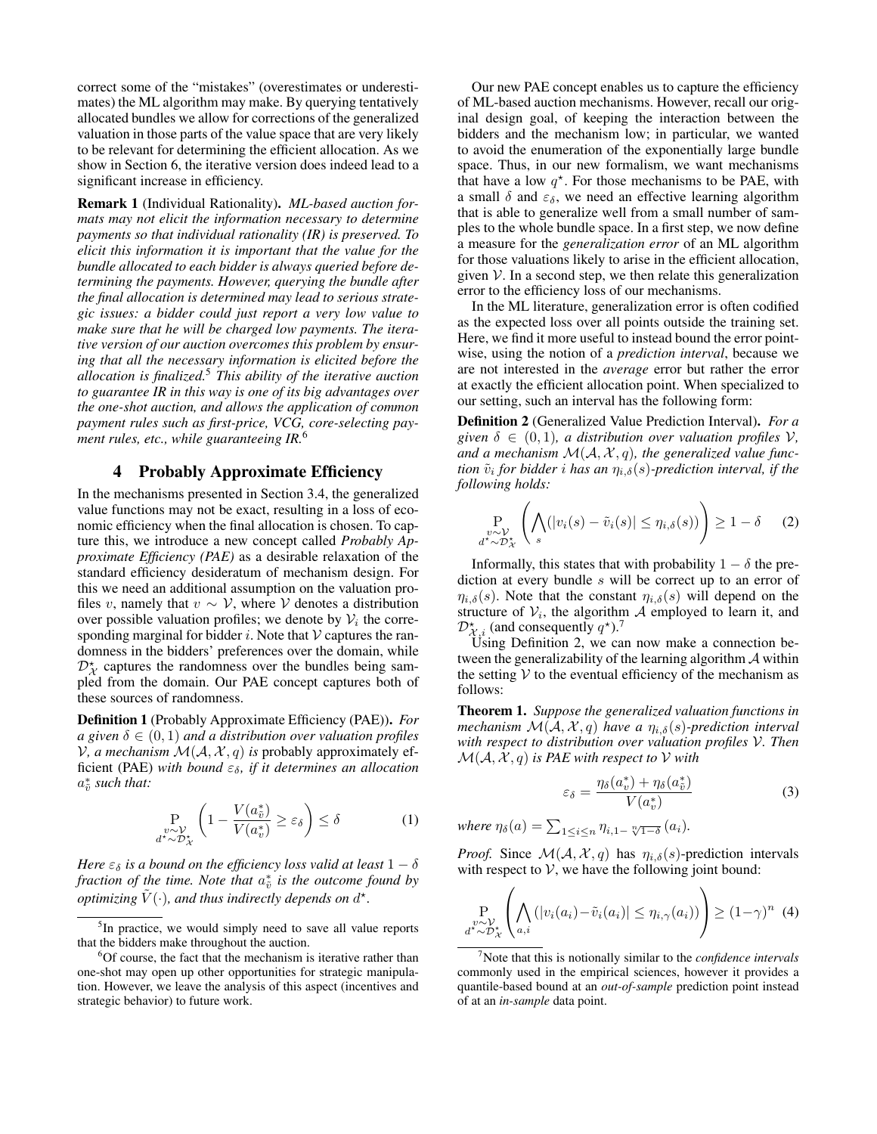correct some of the "mistakes" (overestimates or underestimates) the ML algorithm may make. By querying tentatively allocated bundles we allow for corrections of the generalized valuation in those parts of the value space that are very likely to be relevant for determining the efficient allocation. As we show in Section 6, the iterative version does indeed lead to a significant increase in efficiency.

Remark 1 (Individual Rationality). *ML-based auction formats may not elicit the information necessary to determine payments so that individual rationality (IR) is preserved. To elicit this information it is important that the value for the bundle allocated to each bidder is always queried before determining the payments. However, querying the bundle after the final allocation is determined may lead to serious strategic issues: a bidder could just report a very low value to make sure that he will be charged low payments. The iterative version of our auction overcomes this problem by ensuring that all the necessary information is elicited before the allocation is finalized.*<sup>5</sup> *This ability of the iterative auction to guarantee IR in this way is one of its big advantages over the one-shot auction, and allows the application of common payment rules such as first-price, VCG, core-selecting payment rules, etc., while guaranteeing IR.*<sup>6</sup>

### 4 Probably Approximate Efficiency

In the mechanisms presented in Section 3.4, the generalized value functions may not be exact, resulting in a loss of economic efficiency when the final allocation is chosen. To capture this, we introduce a new concept called *Probably Approximate Efficiency (PAE)* as a desirable relaxation of the standard efficiency desideratum of mechanism design. For this we need an additional assumption on the valuation profiles v, namely that  $v \sim V$ , where V denotes a distribution over possible valuation profiles; we denote by  $V_i$  the corresponding marginal for bidder  $i$ . Note that  $V$  captures the randomness in the bidders' preferences over the domain, while  $\mathcal{D}_{\mathcal{X}}^{\star}$  captures the randomness over the bundles being sampled from the domain. Our PAE concept captures both of these sources of randomness.

Definition 1 (Probably Approximate Efficiency (PAE)). *For a* given  $\delta \in (0,1)$  *and a distribution over valuation profiles*  $V$ , a mechanism  $\mathcal{M}(\mathcal{A}, \mathcal{X}, q)$  is probably approximately efficient (PAE) *with bound*  $\varepsilon_{\delta}$ *, if it determines an allocation*  $a^*_{\tilde{v}}$  such that:

$$
\Pr_{\substack{v \sim \mathcal{V}, \\ d^* \sim \mathcal{D}^*_{\mathcal{X}}}} \left( 1 - \frac{V(a^*_{\tilde{v}})}{V(a^*_{v})} \ge \varepsilon_{\delta} \right) \le \delta \tag{1}
$$

*Here*  $\varepsilon_{\delta}$  *is a bound on the efficiency loss valid at least*  $1 - \delta$ *fraction of the time. Note that*  $a_{\tilde{v}}^*$  *is the outcome found by optimizing*  $\tilde{V}(\cdot)$ , and thus indirectly depends on  $d^{\star}$ .

Our new PAE concept enables us to capture the efficiency of ML-based auction mechanisms. However, recall our original design goal, of keeping the interaction between the bidders and the mechanism low; in particular, we wanted to avoid the enumeration of the exponentially large bundle space. Thus, in our new formalism, we want mechanisms that have a low  $q^*$ . For those mechanisms to be PAE, with a small  $\delta$  and  $\varepsilon_{\delta}$ , we need an effective learning algorithm that is able to generalize well from a small number of samples to the whole bundle space. In a first step, we now define a measure for the *generalization error* of an ML algorithm for those valuations likely to arise in the efficient allocation, given  $V$ . In a second step, we then relate this generalization error to the efficiency loss of our mechanisms.

In the ML literature, generalization error is often codified as the expected loss over all points outside the training set. Here, we find it more useful to instead bound the error pointwise, using the notion of a *prediction interval*, because we are not interested in the *average* error but rather the error at exactly the efficient allocation point. When specialized to our setting, such an interval has the following form:

Definition 2 (Generalized Value Prediction Interval). *For a given*  $\delta \in (0,1)$ *, a distribution over valuation profiles*  $V$ *,* and a mechanism  $\mathcal{M}(\mathcal{A}, \mathcal{X}, q)$ , the generalized value func*tion*  $\tilde{v}_i$  for bidder i has an  $\eta_{i,\delta}(s)$ -prediction interval, if the *following holds:*

$$
\Pr_{\substack{v \sim \mathcal{V}^*\\d^* \sim \mathcal{D}^*_{\mathcal{X}}}} \left( \bigwedge_s (|v_i(s) - \tilde{v}_i(s)| \le \eta_{i,\delta}(s)) \right) \ge 1 - \delta \quad (2)
$$

Informally, this states that with probability  $1 - \delta$  the prediction at every bundle s will be correct up to an error of  $\eta_{i,\delta}(s)$ . Note that the constant  $\eta_{i,\delta}(s)$  will depend on the structure of  $V_i$ , the algorithm  $\mathcal A$  employed to learn it, and  $\mathcal{D}_{\mathcal{X},i}^{\star}$  (and consequently  $q^{\star}$ ).<sup>7</sup>

Using Definition 2, we can now make a connection between the generalizability of the learning algorithm  $A$  within the setting  $V$  to the eventual efficiency of the mechanism as follows:

Theorem 1. *Suppose the generalized valuation functions in mechanism*  $\mathcal{M}(\mathcal{A}, \mathcal{X}, q)$  *have a*  $\eta_{i,\delta}(s)$ *-prediction interval with respect to distribution over valuation profiles* V*. Then*  $\mathcal{M}(\mathcal{A}, \mathcal{X}, q)$  *is PAE with respect to*  $\mathcal V$  *with* 

$$
\varepsilon_{\delta} = \frac{\eta_{\delta}(a_v^*) + \eta_{\delta}(a_v^*)}{V(a_v^*)} \tag{3}
$$

where  $\eta_{\delta}(a) = \sum_{1 \leq i \leq n} \eta_{i,1} \sqrt[n]{1-\delta}(a_i)$ .

*Proof.* Since  $\mathcal{M}(\mathcal{A}, \mathcal{X}, q)$  has  $\eta_{i,\delta}(s)$ -prediction intervals with respect to  $V$ , we have the following joint bound:

$$
\Pr_{\substack{v \sim \mathcal{V} \\ d^* \sim \mathcal{D}^*_{\mathcal{X}}}} \left( \bigwedge_{a,i} \left( |v_i(a_i) - \tilde{v}_i(a_i)| \le \eta_{i,\gamma}(a_i) \right) \right) \ge (1 - \gamma)^n \tag{4}
$$

<sup>&</sup>lt;sup>5</sup>In practice, we would simply need to save all value reports that the bidders make throughout the auction.

<sup>&</sup>lt;sup>6</sup>Of course, the fact that the mechanism is iterative rather than one-shot may open up other opportunities for strategic manipulation. However, we leave the analysis of this aspect (incentives and strategic behavior) to future work.

<sup>7</sup>Note that this is notionally similar to the *confidence intervals* commonly used in the empirical sciences, however it provides a quantile-based bound at an *out-of-sample* prediction point instead of at an *in-sample* data point.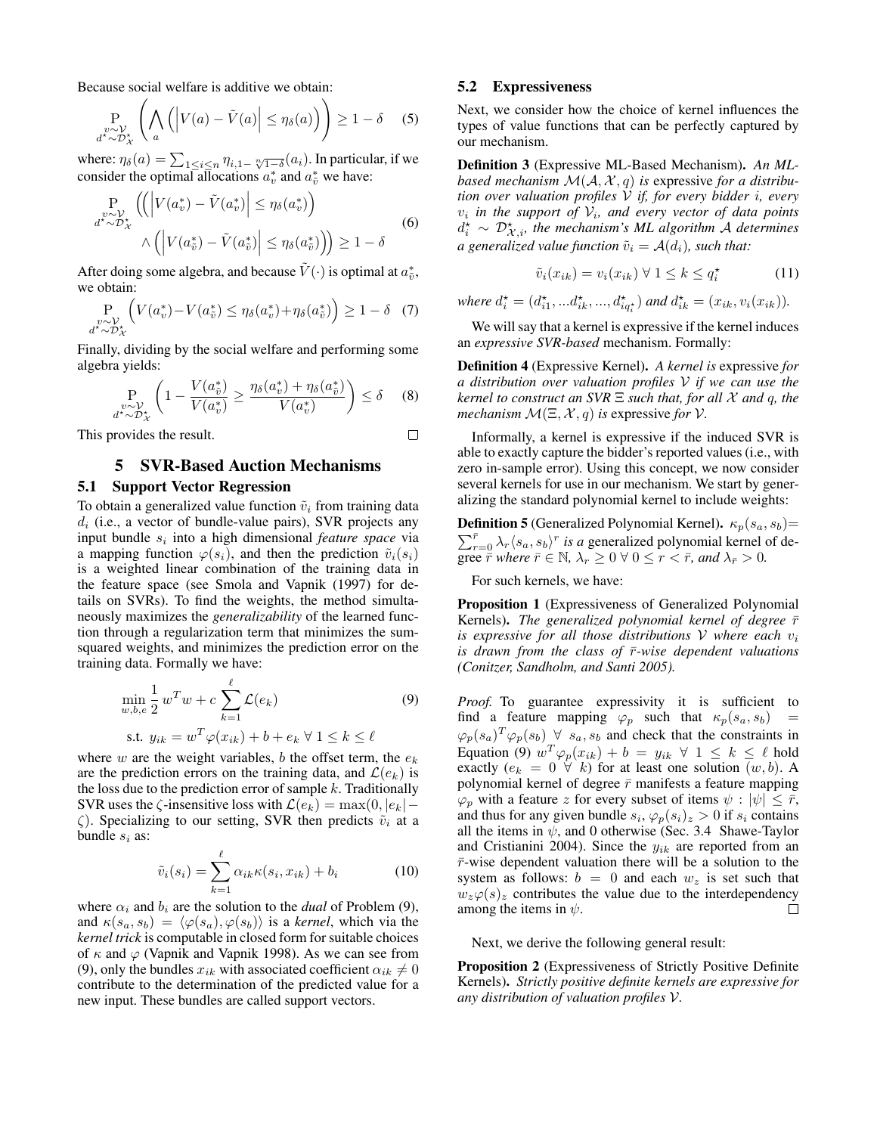Because social welfare is additive we obtain:

$$
\Pr_{\substack{v \sim \mathcal{V} \\ d^* \sim \mathcal{D}^*_{\mathcal{X}}}} \left( \bigwedge_{a} \left( \left| V(a) - \tilde{V}(a) \right| \le \eta_{\delta}(a) \right) \right) \ge 1 - \delta \quad (5)
$$

where:  $\eta_\delta(a) = \sum_{1 \leq i \leq n} \eta_{i,1-\sqrt[n]{1-\delta}}(a_i)$ . In particular, if we consider the optimal allocations  $a_v^*$  and  $a_{\tilde{v}}^*$  we have:

$$
\Pr_{\substack{v \sim \mathcal{V}_{\star} \\ a^* \sim \mathcal{D}_{\mathcal{X}}^*}} \left( \left| V(a_v^*) - \tilde{V}(a_v^*) \right| \le \eta_{\delta}(a_v^*) \right) \n\wedge \left( \left| V(a_{\tilde{v}}^*) - \tilde{V}(a_{\tilde{v}}^*) \right| \le \eta_{\delta}(a_{\tilde{v}}^*) \right) \ge 1 - \delta
$$
\n(6)

After doing some algebra, and because  $\tilde{V}(\cdot)$  is optimal at  $a_{\tilde{v}}^*$ , we obtain:

$$
\Pr_{\substack{v \sim \mathcal{V} \\ d^* \sim \mathcal{D}^*_{\mathcal{X}}}} \left( V(a_v^*) - V(a_{\tilde{v}}^*) \le \eta_{\delta}(a_v^*) + \eta_{\delta}(a_{\tilde{v}}^*) \right) \ge 1 - \delta \quad (7)
$$

Finally, dividing by the social welfare and performing some algebra yields:

$$
\Pr_{\substack{v \sim \mathcal{V} \\ d^* \sim \mathcal{D}^*_{\mathcal{X}}}} \left( 1 - \frac{V(a^*_{\tilde{v}})}{V(a^*_{v})} \ge \frac{\eta_{\delta}(a^*_{v}) + \eta_{\delta}(a^*_{\tilde{v}})}{V(a^*_{v})} \right) \le \delta \quad (8)
$$

 $\Box$ 

This provides the result.

# 5 SVR-Based Auction Mechanisms

#### 5.1 Support Vector Regression

To obtain a generalized value function  $\tilde{v}_i$  from training data  $d_i$  (i.e., a vector of bundle-value pairs), SVR projects any input bundle  $s_i$  into a high dimensional *feature space* via a mapping function  $\varphi(s_i)$ , and then the prediction  $\tilde{v}_i(s_i)$ is a weighted linear combination of the training data in the feature space (see Smola and Vapnik (1997) for details on SVRs). To find the weights, the method simultaneously maximizes the *generalizability* of the learned function through a regularization term that minimizes the sumsquared weights, and minimizes the prediction error on the training data. Formally we have:

$$
\min_{w,b,e} \frac{1}{2} w^T w + c \sum_{k=1}^{\ell} \mathcal{L}(e_k)
$$
\n
$$
\text{s.t. } y_{ik} = w^T \varphi(x_{ik}) + b + e_k \ \forall \ 1 \le k \le \ell
$$
\n
$$
(9)
$$

where w are the weight variables, b the offset term, the  $e_k$ are the prediction errors on the training data, and  $\mathcal{L}(e_k)$  is the loss due to the prediction error of sample  $k$ . Traditionally SVR uses the  $\zeta$ -insensitive loss with  $\mathcal{L}(e_k) = \max(0, |e_k| - \zeta)$  $\zeta$ ). Specializing to our setting, SVR then predicts  $\tilde{v}_i$  at a bundle  $s_i$  as:

$$
\tilde{v}_i(s_i) = \sum_{k=1}^{\ell} \alpha_{ik} \kappa(s_i, x_{ik}) + b_i \tag{10}
$$

where  $\alpha_i$  and  $b_i$  are the solution to the *dual* of Problem (9), and  $\kappa(s_a, s_b) = \langle \varphi(s_a), \varphi(s_b) \rangle$  is a *kernel*, which via the *kernel trick* is computable in closed form for suitable choices of  $\kappa$  and  $\varphi$  (Vapnik and Vapnik 1998). As we can see from (9), only the bundles  $x_{ik}$  with associated coefficient  $\alpha_{ik} \neq 0$ contribute to the determination of the predicted value for a new input. These bundles are called support vectors.

#### 5.2 Expressiveness

Next, we consider how the choice of kernel influences the types of value functions that can be perfectly captured by our mechanism.

Definition 3 (Expressive ML-Based Mechanism). *An MLbased mechanism*  $\mathcal{M}(\mathcal{A}, \mathcal{X}, q)$  *is expressive for a distribution over valuation profiles* V *if, for every bidder* i*, every*  $v_i$  in the support of  $V_i$ , and every vector of data points  $d_i^*$  ∼  $\mathcal{D}_{\mathcal{X},i}^*$ , the mechanism's ML algorithm A determines *a generalized value function*  $\tilde{v}_i = A(d_i)$ *, such that:* 

$$
\tilde{v}_i(x_{ik}) = v_i(x_{ik}) \ \forall \ 1 \leq k \leq q_i^\star \tag{11}
$$

*where*  $d_i^* = (d_{i1}^*, \ldots, d_{ik}^*, \ldots, d_{iq_i^*}^*)$  *and*  $d_{ik}^* = (x_{ik}, v_i(x_{ik})).$ 

We will say that a kernel is expressive if the kernel induces an *expressive SVR-based* mechanism. Formally:

Definition 4 (Expressive Kernel). *A kernel is* expressive *for a distribution over valuation profiles* V *if we can use the kernel to construct an SVR* Ξ *such that, for all* X *and* q*, the mechanism*  $\mathcal{M}(\Xi, \mathcal{X}, q)$  *is expressive for*  $\mathcal{V}$ *.* 

Informally, a kernel is expressive if the induced SVR is able to exactly capture the bidder's reported values (i.e., with zero in-sample error). Using this concept, we now consider several kernels for use in our mechanism. We start by generalizing the standard polynomial kernel to include weights:

**Definition 5** (Generalized Polynomial Kernel).  $\kappa_p(s_a, s_b)$ =  $\sum_{r=0}^{\bar{r}} \lambda_r \langle s_a, s_b \rangle^r$  *is a* generalized polynomial kernel of degree  $\overline{r}$  *where*  $\overline{r} \in \mathbb{N}$ ,  $\lambda_r \geq 0 \ \forall \ 0 \leq r < \overline{r}$ , and  $\lambda_{\overline{r}} > 0$ .

For such kernels, we have:

Proposition 1 (Expressiveness of Generalized Polynomial Kernels). *The generalized polynomial kernel of degree*  $\bar{r}$ *is expressive for all those distributions*  $V$  *where each*  $v_i$ *is drawn from the class of*  $\bar{r}$ *-wise dependent valuations (Conitzer, Sandholm, and Santi 2005).*

Proof. To guarantee expressivity it is sufficient to find a feature mapping  $\varphi_p$  such that  $\kappa_p(s_a, s_b)$  $\varphi_p(s_a)^T \varphi_p(s_b) \ \forall \ s_a, s_b$  and check that the constraints in Equation (9)  $w^T \varphi_p(x_{ik}) + b = y_{ik} \ \forall \ 1 \leq k \leq \ell$  hold exactly  $(e_k = 0 \ \forall k)$  for at least one solution  $(w, b)$ . A polynomial kernel of degree  $\bar{r}$  manifests a feature mapping  $\varphi_p$  with a feature z for every subset of items  $\psi : |\psi| \leq \bar{r}$ , and thus for any given bundle  $s_i$ ,  $\varphi_p(s_i)_z > 0$  if  $s_i$  contains all the items in  $\psi$ , and 0 otherwise (Sec. 3.4 Shawe-Taylor and Cristianini 2004). Since the  $y_{ik}$  are reported from an  $\bar{r}$ -wise dependent valuation there will be a solution to the system as follows:  $b = 0$  and each  $w_z$  is set such that  $w_z\varphi(s)_z$  contributes the value due to the interdependency among the items in  $\psi$ . П

Next, we derive the following general result:

Proposition 2 (Expressiveness of Strictly Positive Definite Kernels). *Strictly positive definite kernels are expressive for any distribution of valuation profiles* V*.*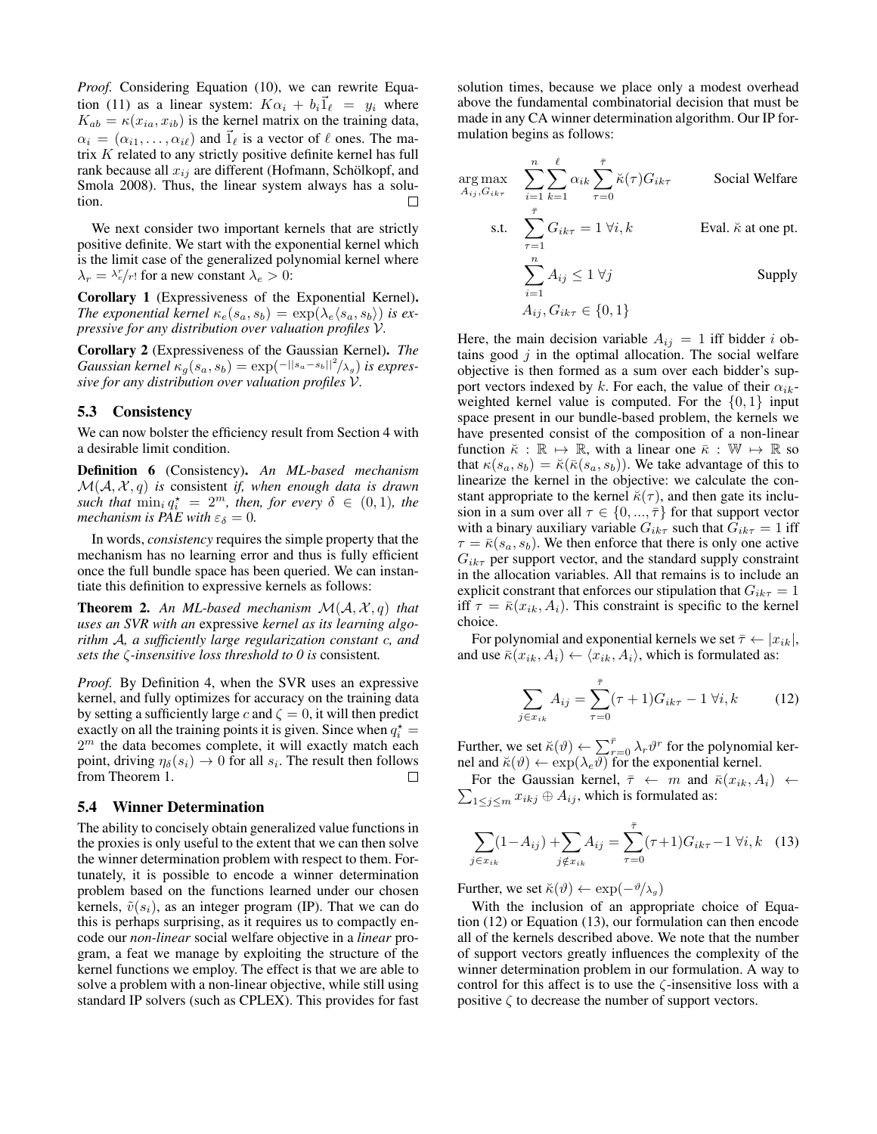*Proof.* Considering Equation (10), we can rewrite Equation (11) as a linear system:  $K\alpha_i + b_i \vec{1}_\ell = y_i$  where  $K_{ab} = \kappa(x_{ia}, x_{ib})$  is the kernel matrix on the training data,  $\alpha_i = (\alpha_{i1}, \dots, \alpha_{i\ell})$  and  $\hat{1}_{\ell}$  is a vector of  $\ell$  ones. The matrix K related to any strictly positive definite kernel has full rank because all  $x_{ij}$  are different (Hofmann, Schölkopf, and Smola 2008). Thus, the linear system always has a solution.  $\Box$ 

We next consider two important kernels that are strictly positive definite. We start with the exponential kernel which is the limit case of the generalized polynomial kernel where  $\lambda_r = \lambda_e^r / r!$  for a new constant  $\lambda_e > 0$ :

Corollary 1 (Expressiveness of the Exponential Kernel). *The exponential kernel*  $\kappa_e(s_a, s_b) = \exp(\lambda_e \langle s_a, s_b \rangle)$  *is expressive for any distribution over valuation profiles* V*.*

Corollary 2 (Expressiveness of the Gaussian Kernel). *The Gaussian kernel*  $\kappa_g(s_a, s_b) = \exp(-||s_a - s_b||^2/\lambda_g)$  *is expressive for any distribution over valuation profiles* V*.*

#### 5.3 Consistency

We can now bolster the efficiency result from Section 4 with a desirable limit condition.

Definition 6 (Consistency). *An ML-based mechanism* M(A, X , q) *is* consistent *if, when enough data is drawn*  $\textit{such that } \min_i q_i^* = 2^m, \textit{then, for every } \delta \in (0,1), \textit{the}$ *mechanism is PAE with*  $\varepsilon_{\delta} = 0$ *.* 

In words, *consistency* requires the simple property that the mechanism has no learning error and thus is fully efficient once the full bundle space has been queried. We can instantiate this definition to expressive kernels as follows:

Theorem 2. *An ML-based mechanism* M(A, X , q) *that uses an SVR with an* expressive *kernel as its learning algorithm* A*, a sufficiently large regularization constant* c*, and sets the* ζ*-insensitive loss threshold to 0 is* consistent*.*

*Proof.* By Definition 4, when the SVR uses an expressive kernel, and fully optimizes for accuracy on the training data by setting a sufficiently large c and  $\zeta = 0$ , it will then predict exactly on all the training points it is given. Since when  $q_i^* =$  $2<sup>m</sup>$  the data becomes complete, it will exactly match each point, driving  $\eta_\delta(s_i) \to 0$  for all  $s_i$ . The result then follows from Theorem 1. П

#### 5.4 Winner Determination

The ability to concisely obtain generalized value functions in the proxies is only useful to the extent that we can then solve the winner determination problem with respect to them. Fortunately, it is possible to encode a winner determination problem based on the functions learned under our chosen kernels,  $\tilde{v}(s_i)$ , as an integer program (IP). That we can do this is perhaps surprising, as it requires us to compactly encode our *non-linear* social welfare objective in a *linear* program, a feat we manage by exploiting the structure of the kernel functions we employ. The effect is that we are able to solve a problem with a non-linear objective, while still using standard IP solvers (such as CPLEX). This provides for fast

solution times, because we place only a modest overhead above the fundamental combinatorial decision that must be made in any CA winner determination algorithm. Our IP formulation begins as follows:

$$
\arg \max_{A_{ij}, G_{ik\tau}} \sum_{i=1}^{n} \sum_{k=1}^{\ell} \alpha_{ik} \sum_{\tau=0}^{\bar{\tau}} \breve{\kappa}(\tau) G_{ik\tau}
$$
 Social Welfare  
s.t. 
$$
\sum_{\tau=1}^{\bar{\tau}} G_{ik\tau} = 1 \ \forall i, k
$$
Eval.  $\breve{\kappa}$  at one pt.  

$$
\sum_{i=1}^{n} A_{ij} \le 1 \ \forall j
$$
 Supply  

$$
A_{ij}, G_{ik\tau} \in \{0, 1\}
$$

Here, the main decision variable  $A_{ij} = 1$  iff bidder i obtains good  $j$  in the optimal allocation. The social welfare objective is then formed as a sum over each bidder's support vectors indexed by k. For each, the value of their  $\alpha_{ik}$ weighted kernel value is computed. For the  $\{0, 1\}$  input space present in our bundle-based problem, the kernels we have presented consist of the composition of a non-linear function  $\breve{\kappa} : \mathbb{R} \mapsto \mathbb{R}$ , with a linear one  $\bar{\kappa} : \mathbb{W} \mapsto \mathbb{R}$  so that  $\kappa(s_a, s_b) = \breve{\kappa}(\bar{\kappa}(s_a, s_b))$ . We take advantage of this to linearize the kernel in the objective: we calculate the constant appropriate to the kernel  $\breve{\kappa}(\tau)$ , and then gate its inclusion in a sum over all  $\tau \in \{0, ..., \overline{\tau}\}\$ for that support vector with a binary auxiliary variable  $G_{ik\tau}$  such that  $G_{ik\tau} = 1$  iff  $\tau = \bar{\kappa}(s_a, s_b)$ . We then enforce that there is only one active  $G_{ik\tau}$  per support vector, and the standard supply constraint in the allocation variables. All that remains is to include an explicit constrant that enforces our stipulation that  $G_{ik\tau} = 1$ iff  $\tau = \bar{\kappa}(x_{ik}, A_i)$ . This constraint is specific to the kernel choice.

For polynomial and exponential kernels we set  $\bar{\tau} \leftarrow |x_{ik}|$ , and use  $\bar{\kappa}(x_{ik}, A_i) \leftarrow \langle x_{ik}, A_i \rangle$ , which is formulated as:

$$
\sum_{j \in x_{ik}} A_{ij} = \sum_{\tau=0}^{\bar{\tau}} (\tau + 1) G_{ik\tau} - 1 \,\forall i, k \tag{12}
$$

Further, we set  $\breve{\kappa}(\vartheta) \leftarrow \sum_{r=0}^{\bar{r}} \lambda_r \vartheta^r$  for the polynomial kernel and  $\breve{\kappa}(\vartheta) \leftarrow \exp(\lambda_e \vartheta)$  for the exponential kernel.

 $\sum_{1 \leq j \leq m} x_{ikj} \oplus A_{ij}$ , which is formulated as: For the Gaussian kernel,  $\bar{\tau} \leftarrow m$  and  $\bar{\kappa}(x_{ik}, A_i) \leftarrow$ 

$$
\sum_{j \in x_{ik}} (1 - A_{ij}) + \sum_{j \notin x_{ik}} A_{ij} = \sum_{\tau=0}^{\bar{\tau}} (\tau + 1) G_{ik\tau} - 1 \,\forall i, k \quad (13)
$$

Further, we set  $\breve{\kappa}(\vartheta) \leftarrow \exp(-\vartheta/\lambda_g)$ 

With the inclusion of an appropriate choice of Equation (12) or Equation (13), our formulation can then encode all of the kernels described above. We note that the number of support vectors greatly influences the complexity of the winner determination problem in our formulation. A way to control for this affect is to use the  $\zeta$ -insensitive loss with a positive  $\zeta$  to decrease the number of support vectors.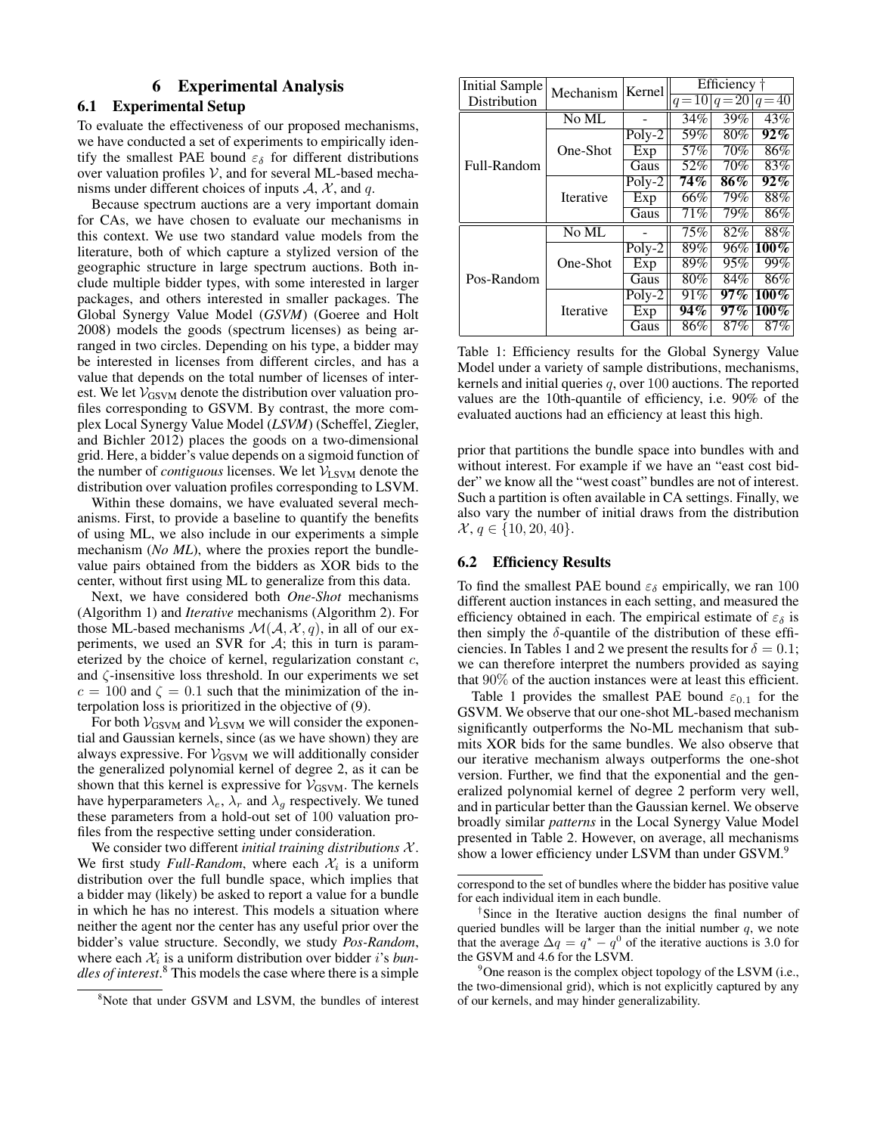## 6 Experimental Analysis

### 6.1 Experimental Setup

To evaluate the effectiveness of our proposed mechanisms, we have conducted a set of experiments to empirically identify the smallest PAE bound  $\varepsilon_{\delta}$  for different distributions over valuation profiles  $V$ , and for several ML-based mechanisms under different choices of inputs  $A$ ,  $X$ , and q.

Because spectrum auctions are a very important domain for CAs, we have chosen to evaluate our mechanisms in this context. We use two standard value models from the literature, both of which capture a stylized version of the geographic structure in large spectrum auctions. Both include multiple bidder types, with some interested in larger packages, and others interested in smaller packages. The Global Synergy Value Model (*GSVM*) (Goeree and Holt 2008) models the goods (spectrum licenses) as being arranged in two circles. Depending on his type, a bidder may be interested in licenses from different circles, and has a value that depends on the total number of licenses of interest. We let  $V_{GSVM}$  denote the distribution over valuation profiles corresponding to GSVM. By contrast, the more complex Local Synergy Value Model (*LSVM*) (Scheffel, Ziegler, and Bichler 2012) places the goods on a two-dimensional grid. Here, a bidder's value depends on a sigmoid function of the number of *contiguous* licenses. We let  $V_{LSVM}$  denote the distribution over valuation profiles corresponding to LSVM.

Within these domains, we have evaluated several mechanisms. First, to provide a baseline to quantify the benefits of using ML, we also include in our experiments a simple mechanism (*No ML*), where the proxies report the bundlevalue pairs obtained from the bidders as XOR bids to the center, without first using ML to generalize from this data.

Next, we have considered both *One-Shot* mechanisms (Algorithm 1) and *Iterative* mechanisms (Algorithm 2). For those ML-based mechanisms  $\mathcal{M}(\mathcal{A}, \mathcal{X}, q)$ , in all of our experiments, we used an SVR for  $A$ ; this in turn is parameterized by the choice of kernel, regularization constant c, and  $\zeta$ -insensitive loss threshold. In our experiments we set  $c = 100$  and  $\zeta = 0.1$  such that the minimization of the interpolation loss is prioritized in the objective of (9).

For both  $V_{GSVM}$  and  $V_{LSVM}$  we will consider the exponential and Gaussian kernels, since (as we have shown) they are always expressive. For  $V_{GSVM}$  we will additionally consider the generalized polynomial kernel of degree 2, as it can be shown that this kernel is expressive for  $V_{GSVM}$ . The kernels have hyperparameters  $\lambda_e$ ,  $\lambda_r$  and  $\lambda_q$  respectively. We tuned these parameters from a hold-out set of 100 valuation profiles from the respective setting under consideration.

We consider two different *initial training distributions* X . We first study *Full-Random*, where each  $\mathcal{X}_i$  is a uniform distribution over the full bundle space, which implies that a bidder may (likely) be asked to report a value for a bundle in which he has no interest. This models a situation where neither the agent nor the center has any useful prior over the bidder's value structure. Secondly, we study *Pos-Random*, where each  $\mathcal{X}_i$  is a uniform distribution over bidder i's *bundles of interest*. <sup>8</sup> This models the case where there is a simple

| Initial Sample<br>Distribution | Kernel<br>Mechanism |                     | Efficiency $\dagger$<br>$q=10 q=20 q=40$ |        |         |  |
|--------------------------------|---------------------|---------------------|------------------------------------------|--------|---------|--|
|                                | No ML               |                     | 34%                                      | 39%    | 43%     |  |
| Full-Random                    |                     |                     |                                          |        |         |  |
|                                |                     | $Pol\overline{y-2}$ | 59%                                      | $80\%$ | $92\%$  |  |
|                                | One-Shot            | Exp                 | 57%                                      | 70%    | 86%     |  |
|                                |                     | Gaus                | 52%                                      | 70%    | 83%     |  |
|                                | <b>Iterative</b>    | $Poly-2$            | 74%                                      | $86\%$ | $92\%$  |  |
|                                |                     | Exp                 | 66%                                      | 79%    | 88%     |  |
|                                |                     | Gaus                | 71%                                      | 79%    | 86%     |  |
| Pos-Random                     | $No\ \overline{ML}$ |                     | 75%                                      | 82%    | 88%     |  |
|                                | One-Shot            | $Poly-2$            | 89%                                      | 96%    | $100\%$ |  |
|                                |                     | Exp                 | 89%                                      | 95%    | 99%     |  |
|                                |                     | Gaus                | 80%                                      | 84%    | 86%     |  |
|                                | <b>Iterative</b>    | $Poly-2$            | 91%                                      | $97\%$ | $100\%$ |  |
|                                |                     | $\overline{Exp}$    | 94%                                      | $97\%$ | $100\%$ |  |
|                                |                     | Gaus                | 86%                                      | 87%    | 87%     |  |

Table 1: Efficiency results for the Global Synergy Value Model under a variety of sample distributions, mechanisms, kernels and initial queries  $q$ , over 100 auctions. The reported values are the 10th-quantile of efficiency, i.e. 90% of the evaluated auctions had an efficiency at least this high.

prior that partitions the bundle space into bundles with and without interest. For example if we have an "east cost bidder" we know all the "west coast" bundles are not of interest. Such a partition is often available in CA settings. Finally, we also vary the number of initial draws from the distribution  $\mathcal{X}, q \in \{10, 20, 40\}.$ 

### 6.2 Efficiency Results

To find the smallest PAE bound  $\varepsilon_{\delta}$  empirically, we ran 100 different auction instances in each setting, and measured the efficiency obtained in each. The empirical estimate of  $\varepsilon_{\delta}$  is then simply the  $\delta$ -quantile of the distribution of these efficiencies. In Tables 1 and 2 we present the results for  $\delta = 0.1$ ; we can therefore interpret the numbers provided as saying that 90% of the auction instances were at least this efficient.

Table 1 provides the smallest PAE bound  $\varepsilon_{0,1}$  for the GSVM. We observe that our one-shot ML-based mechanism significantly outperforms the No-ML mechanism that submits XOR bids for the same bundles. We also observe that our iterative mechanism always outperforms the one-shot version. Further, we find that the exponential and the generalized polynomial kernel of degree 2 perform very well, and in particular better than the Gaussian kernel. We observe broadly similar *patterns* in the Local Synergy Value Model presented in Table 2. However, on average, all mechanisms show a lower efficiency under LSVM than under GSVM.<sup>9</sup>

<sup>&</sup>lt;sup>8</sup>Note that under GSVM and LSVM, the bundles of interest

correspond to the set of bundles where the bidder has positive value for each individual item in each bundle.

<sup>†</sup> Since in the Iterative auction designs the final number of queried bundles will be larger than the initial number  $q$ , we note that the average  $\Delta q = q^* - q^0$  of the iterative auctions is 3.0 for the GSVM and 4.6 for the LSVM.

 $9^9$ One reason is the complex object topology of the LSVM (i.e., the two-dimensional grid), which is not explicitly captured by any of our kernels, and may hinder generalizability.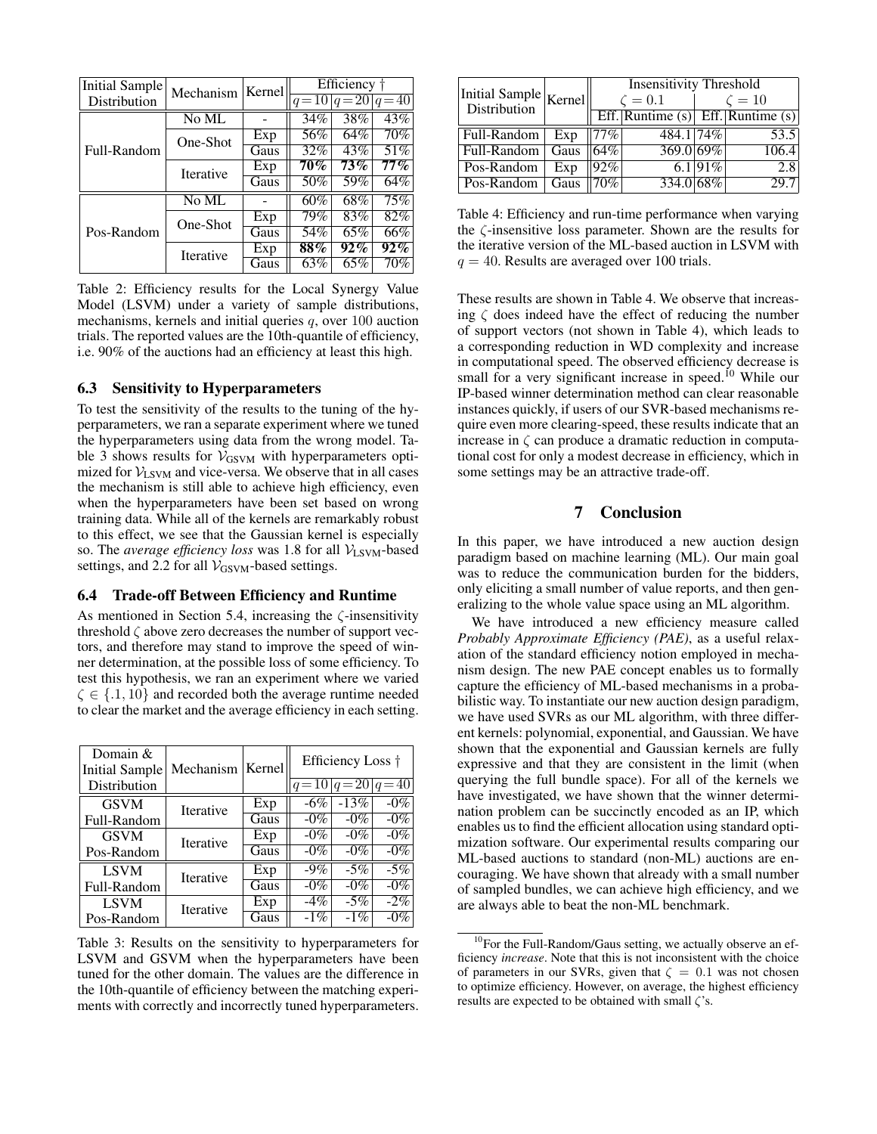| Initial Sample<br>Distribution | Mechanism         | Kernel | Efficiency $\dagger$ | $q=10 q=20 q=40$ |        |
|--------------------------------|-------------------|--------|----------------------|------------------|--------|
| Full-Random                    | No ML             |        | 34%                  | 38%              | 43%    |
|                                | One-Shot          | Exp    | 56%                  | 64%              | 70%    |
|                                |                   | Gaus   | 32%                  | 43%              | 51%    |
|                                | <b>Iterative</b>  | Exp    | $70\%$               | $73\%$           | $77\%$ |
|                                |                   | Gaus   | 50%                  | 59%              | 64%    |
| Pos-Random                     | N <sub>0</sub> ML |        | 60%                  | 68%              | 75%    |
|                                | One-Shot          | Exp    | 79%                  | 83%              | 82%    |
|                                |                   | Gaus   | 54%                  | 65%              | 66%    |
|                                | <b>Iterative</b>  | Exp    | 88%                  | $92\%$           | $92\%$ |
|                                |                   | Gaus   | 63%                  | 65%              | 70%    |

Table 2: Efficiency results for the Local Synergy Value Model (LSVM) under a variety of sample distributions, mechanisms, kernels and initial queries  $q$ , over 100 auction trials. The reported values are the 10th-quantile of efficiency, i.e. 90% of the auctions had an efficiency at least this high.

### 6.3 Sensitivity to Hyperparameters

To test the sensitivity of the results to the tuning of the hyperparameters, we ran a separate experiment where we tuned the hyperparameters using data from the wrong model. Table 3 shows results for  $V_{GSVM}$  with hyperparameters optimized for  $V_{LSVM}$  and vice-versa. We observe that in all cases the mechanism is still able to achieve high efficiency, even when the hyperparameters have been set based on wrong training data. While all of the kernels are remarkably robust to this effect, we see that the Gaussian kernel is especially so. The *average efficiency loss* was 1.8 for all  $V_{LSVM}$ -based settings, and 2.2 for all  $V_{GSVM}$ -based settings.

#### 6.4 Trade-off Between Efficiency and Runtime

As mentioned in Section 5.4, increasing the  $\zeta$ -insensitivity threshold  $\zeta$  above zero decreases the number of support vectors, and therefore may stand to improve the speed of winner determination, at the possible loss of some efficiency. To test this hypothesis, we ran an experiment where we varied  $\zeta \in \{.1, 10\}$  and recorded both the average runtime needed to clear the market and the average efficiency in each setting.

| Domain $&$<br>Initial Sample | Mechanism        | Kernel |                   | Efficiency Loss <sup>†</sup> |        |  |  |
|------------------------------|------------------|--------|-------------------|------------------------------|--------|--|--|
| Distribution                 |                  |        | $ q=10 q=20 q=40$ |                              |        |  |  |
| <b>GSVM</b>                  | Iterative        | Exp    | $-6\%$            | $-13%$                       | $-0\%$ |  |  |
| Full-Random                  |                  | Gaus   | $-0\%$            | $-0\%$                       | $-0\%$ |  |  |
| <b>GSVM</b>                  | <b>Iterative</b> | Exp    | $-0\%$            | $-0\%$                       | $-0\%$ |  |  |
| Pos-Random                   |                  | Gaus   | $-0\%$            | $-0\%$                       | $-0\%$ |  |  |
| <b>LSVM</b>                  | <b>Iterative</b> | Exp    | $-9\%$            | $-5\%$                       | $-5%$  |  |  |
| Full-Random                  |                  | Gaus   | $-0\%$            | $-0\%$                       | $-0\%$ |  |  |
| <b>LSVM</b>                  | <b>Iterative</b> | Exp    | $-4\%$            | $-5\%$                       | $-2\%$ |  |  |
| Pos-Random                   |                  | Gaus   | $-1\%$            | $-1\%$                       | $-0\%$ |  |  |

Table 3: Results on the sensitivity to hyperparameters for LSVM and GSVM when the hyperparameters have been tuned for the other domain. The values are the difference in the 10th-quantile of efficiency between the matching experiments with correctly and incorrectly tuned hyperparameters.

| $ Initial Sample $<br>$ Kernel $ |      | <b>Insensitivity Threshold</b><br>$\zeta=0.1$<br>$\zeta=10$ |                                       |          |       |  |
|----------------------------------|------|-------------------------------------------------------------|---------------------------------------|----------|-------|--|
| Distribution                     |      |                                                             | Eff. Runtime $(s)$ Eff. Runtime $(s)$ |          |       |  |
| Full-Random                      | Exp  | $77\%$                                                      | 484.1 74%                             |          | 53.5  |  |
| Full-Random                      | Gaus | 64%                                                         | 369.0 69%                             |          | 106.4 |  |
| Pos-Random                       | Exp  | 92%                                                         |                                       | 6.1 91\% | 2.8   |  |
| Pos-Random                       | Gaus | 70%                                                         | 334.0 68%                             |          | 29.7  |  |

Table 4: Efficiency and run-time performance when varying the ζ-insensitive loss parameter. Shown are the results for the iterative version of the ML-based auction in LSVM with  $q = 40$ . Results are averaged over 100 trials.

These results are shown in Table 4. We observe that increasing  $\zeta$  does indeed have the effect of reducing the number of support vectors (not shown in Table 4), which leads to a corresponding reduction in WD complexity and increase in computational speed. The observed efficiency decrease is small for a very significant increase in speed.<sup>10</sup> While our IP-based winner determination method can clear reasonable instances quickly, if users of our SVR-based mechanisms require even more clearing-speed, these results indicate that an increase in  $\zeta$  can produce a dramatic reduction in computational cost for only a modest decrease in efficiency, which in some settings may be an attractive trade-off.

# 7 Conclusion

In this paper, we have introduced a new auction design paradigm based on machine learning (ML). Our main goal was to reduce the communication burden for the bidders, only eliciting a small number of value reports, and then generalizing to the whole value space using an ML algorithm.

We have introduced a new efficiency measure called *Probably Approximate Efficiency (PAE)*, as a useful relaxation of the standard efficiency notion employed in mechanism design. The new PAE concept enables us to formally capture the efficiency of ML-based mechanisms in a probabilistic way. To instantiate our new auction design paradigm, we have used SVRs as our ML algorithm, with three different kernels: polynomial, exponential, and Gaussian. We have shown that the exponential and Gaussian kernels are fully expressive and that they are consistent in the limit (when querying the full bundle space). For all of the kernels we have investigated, we have shown that the winner determination problem can be succinctly encoded as an IP, which enables us to find the efficient allocation using standard optimization software. Our experimental results comparing our ML-based auctions to standard (non-ML) auctions are encouraging. We have shown that already with a small number of sampled bundles, we can achieve high efficiency, and we are always able to beat the non-ML benchmark.

<sup>&</sup>lt;sup>10</sup>For the Full-Random/Gaus setting, we actually observe an efficiency *increase*. Note that this is not inconsistent with the choice of parameters in our SVRs, given that  $\zeta = 0.1$  was not chosen to optimize efficiency. However, on average, the highest efficiency results are expected to be obtained with small  $\zeta$ 's.